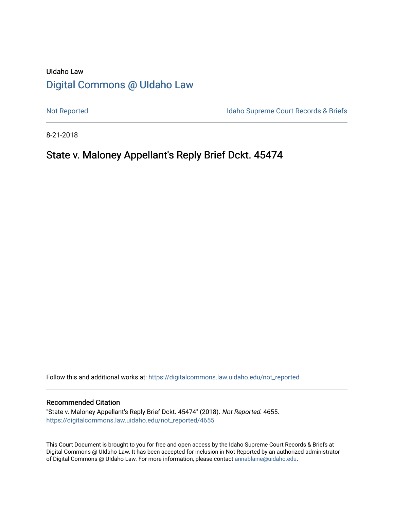# UIdaho Law [Digital Commons @ UIdaho Law](https://digitalcommons.law.uidaho.edu/)

[Not Reported](https://digitalcommons.law.uidaho.edu/not_reported) **Idaho Supreme Court Records & Briefs** 

8-21-2018

# State v. Maloney Appellant's Reply Brief Dckt. 45474

Follow this and additional works at: [https://digitalcommons.law.uidaho.edu/not\\_reported](https://digitalcommons.law.uidaho.edu/not_reported?utm_source=digitalcommons.law.uidaho.edu%2Fnot_reported%2F4655&utm_medium=PDF&utm_campaign=PDFCoverPages) 

#### Recommended Citation

"State v. Maloney Appellant's Reply Brief Dckt. 45474" (2018). Not Reported. 4655. [https://digitalcommons.law.uidaho.edu/not\\_reported/4655](https://digitalcommons.law.uidaho.edu/not_reported/4655?utm_source=digitalcommons.law.uidaho.edu%2Fnot_reported%2F4655&utm_medium=PDF&utm_campaign=PDFCoverPages)

This Court Document is brought to you for free and open access by the Idaho Supreme Court Records & Briefs at Digital Commons @ UIdaho Law. It has been accepted for inclusion in Not Reported by an authorized administrator of Digital Commons @ UIdaho Law. For more information, please contact [annablaine@uidaho.edu](mailto:annablaine@uidaho.edu).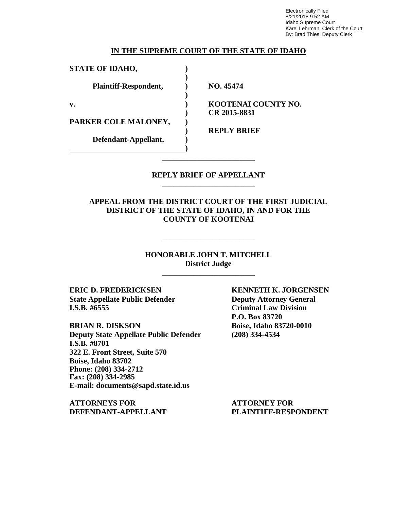Electronically Filed 8/21/2018 9:52 AM Idaho Supreme Court Karel Lehrman, Clerk of the Court By: Brad Thies, Deputy Clerk

### **IN THE SUPREME COURT OF THE STATE OF IDAHO**

**)**

**)**

**)**

**STATE OF IDAHO, )**

**Plaintiff-Respondent, ) NO. 45474**

**v. ) KOOTENAI COUNTY NO. ) CR 2015-8831**

**PARKER COLE MALONEY, )**

**Defendant-Appellant. )**

**) REPLY BRIEF**

### **REPLY BRIEF OF APPELLANT** \_\_\_\_\_\_\_\_\_\_\_\_\_\_\_\_\_\_\_\_\_\_\_\_

\_\_\_\_\_\_\_\_\_\_\_\_\_\_\_\_\_\_\_\_\_\_\_\_

**APPEAL FROM THE DISTRICT COURT OF THE FIRST JUDICIAL DISTRICT OF THE STATE OF IDAHO, IN AND FOR THE COUNTY OF KOOTENAI**

## **HONORABLE JOHN T. MITCHELL District Judge**

\_\_\_\_\_\_\_\_\_\_\_\_\_\_\_\_\_\_\_\_\_\_\_\_

\_\_\_\_\_\_\_\_\_\_\_\_\_\_\_\_\_\_\_\_\_\_\_\_

**ERIC D. FREDERICKSEN KENNETH K. JORGENSEN State Appellate Public Defender Deputy Attorney General I.S.B. #6555 Criminal Law Division**

**BRIAN R. DISKSON Boise, Idaho 83720-0010 Deputy State Appellate Public Defender (208) 334-4534 I.S.B. #8701 322 E. Front Street, Suite 570 Boise, Idaho 83702 Phone: (208) 334-2712 Fax: (208) 334-2985 E-mail: documents@sapd.state.id.us**

**ATTORNEYS FOR ATTORNEY FOR DEFENDANT-APPELLANT PLAINTIFF-RESPONDENT**

**P.O. Box 83720**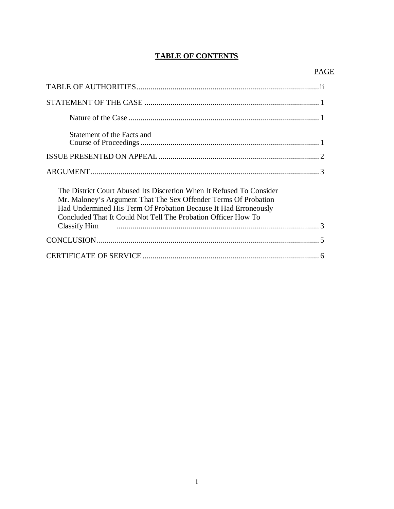# **TABLE OF CONTENTS**

| Statement of the Facts and                                                                                                                                                                                                                                                                  |
|---------------------------------------------------------------------------------------------------------------------------------------------------------------------------------------------------------------------------------------------------------------------------------------------|
|                                                                                                                                                                                                                                                                                             |
|                                                                                                                                                                                                                                                                                             |
| The District Court Abused Its Discretion When It Refused To Consider<br>Mr. Maloney's Argument That The Sex Offender Terms Of Probation<br>Had Undermined His Term Of Probation Because It Had Erroneously<br>Concluded That It Could Not Tell The Probation Officer How To<br>Classify Him |
|                                                                                                                                                                                                                                                                                             |
|                                                                                                                                                                                                                                                                                             |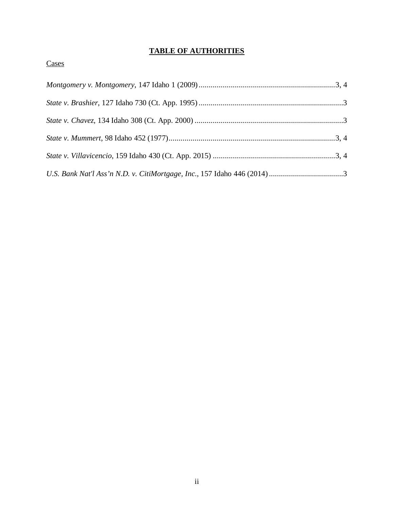# **TABLE OF AUTHORITIES**

# **Cases**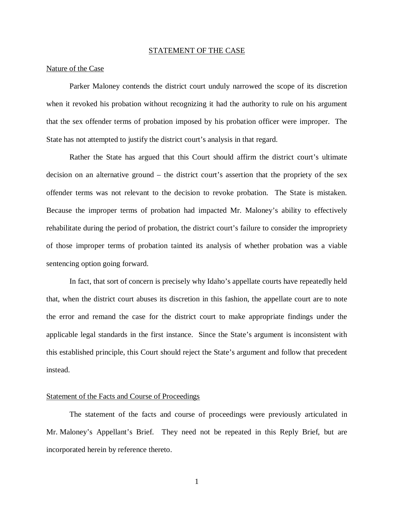#### STATEMENT OF THE CASE

#### Nature of the Case

Parker Maloney contends the district court unduly narrowed the scope of its discretion when it revoked his probation without recognizing it had the authority to rule on his argument that the sex offender terms of probation imposed by his probation officer were improper. The State has not attempted to justify the district court's analysis in that regard.

Rather the State has argued that this Court should affirm the district court's ultimate decision on an alternative ground – the district court's assertion that the propriety of the sex offender terms was not relevant to the decision to revoke probation. The State is mistaken. Because the improper terms of probation had impacted Mr. Maloney's ability to effectively rehabilitate during the period of probation, the district court's failure to consider the impropriety of those improper terms of probation tainted its analysis of whether probation was a viable sentencing option going forward.

In fact, that sort of concern is precisely why Idaho's appellate courts have repeatedly held that, when the district court abuses its discretion in this fashion, the appellate court are to note the error and remand the case for the district court to make appropriate findings under the applicable legal standards in the first instance. Since the State's argument is inconsistent with this established principle, this Court should reject the State's argument and follow that precedent instead.

### Statement of the Facts and Course of Proceedings

The statement of the facts and course of proceedings were previously articulated in Mr. Maloney's Appellant's Brief. They need not be repeated in this Reply Brief, but are incorporated herein by reference thereto.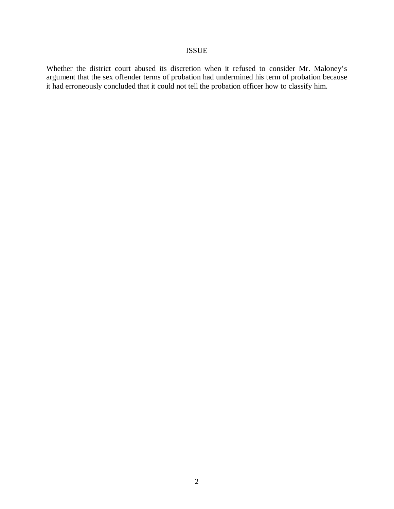### ISSUE

Whether the district court abused its discretion when it refused to consider Mr. Maloney's argument that the sex offender terms of probation had undermined his term of probation because it had erroneously concluded that it could not tell the probation officer how to classify him.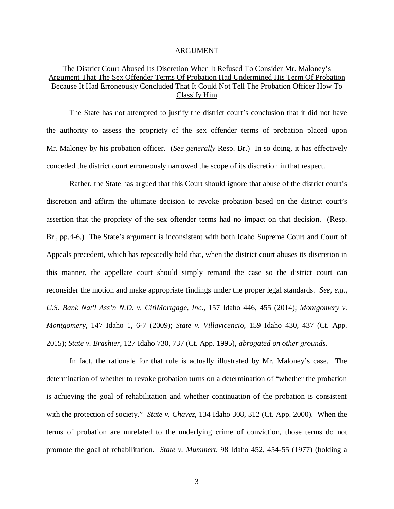#### ARGUMENT

## The District Court Abused Its Discretion When It Refused To Consider Mr. Maloney's Argument That The Sex Offender Terms Of Probation Had Undermined His Term Of Probation Because It Had Erroneously Concluded That It Could Not Tell The Probation Officer How To Classify Him

The State has not attempted to justify the district court's conclusion that it did not have the authority to assess the propriety of the sex offender terms of probation placed upon Mr. Maloney by his probation officer. (*See generally* Resp. Br.) In so doing, it has effectively conceded the district court erroneously narrowed the scope of its discretion in that respect.

Rather, the State has argued that this Court should ignore that abuse of the district court's discretion and affirm the ultimate decision to revoke probation based on the district court's assertion that the propriety of the sex offender terms had no impact on that decision. (Resp. Br., pp.4-6.) The State's argument is inconsistent with both Idaho Supreme Court and Court of Appeals precedent, which has repeatedly held that, when the district court abuses its discretion in this manner, the appellate court should simply remand the case so the district court can reconsider the motion and make appropriate findings under the proper legal standards. *See, e.g., U.S. Bank Nat'l Ass'n N.D. v. CitiMortgage, Inc*., 157 Idaho 446, 455 (2014); *Montgomery v. Montgomery*, 147 Idaho 1, 6-7 (2009); *State v. Villavicencio*, 159 Idaho 430, 437 (Ct. App. 2015); *State v. Brashier*, 127 Idaho 730, 737 (Ct. App. 1995), *abrogated on other grounds*.

In fact, the rationale for that rule is actually illustrated by Mr. Maloney's case. The determination of whether to revoke probation turns on a determination of "whether the probation is achieving the goal of rehabilitation and whether continuation of the probation is consistent with the protection of society." *State v. Chavez*, 134 Idaho 308, 312 (Ct. App. 2000). When the terms of probation are unrelated to the underlying crime of conviction, those terms do not promote the goal of rehabilitation. *State v. Mummert*, 98 Idaho 452, 454-55 (1977) (holding a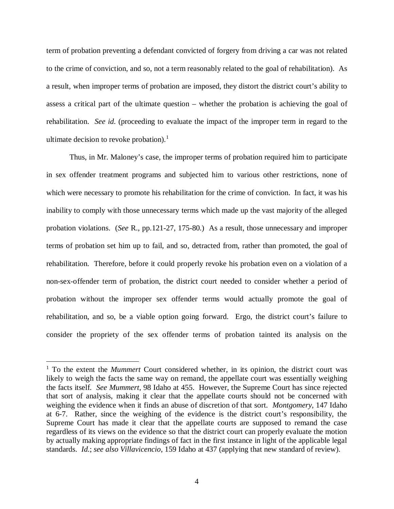term of probation preventing a defendant convicted of forgery from driving a car was not related to the crime of conviction, and so, not a term reasonably related to the goal of rehabilitation). As a result, when improper terms of probation are imposed, they distort the district court's ability to assess a critical part of the ultimate question – whether the probation is achieving the goal of rehabilitation. *See id*. (proceeding to evaluate the impact of the improper term in regard to the ultimate decision to revoke probation).<sup>[1](#page-7-0)</sup>

Thus, in Mr. Maloney's case, the improper terms of probation required him to participate in sex offender treatment programs and subjected him to various other restrictions, none of which were necessary to promote his rehabilitation for the crime of conviction. In fact, it was his inability to comply with those unnecessary terms which made up the vast majority of the alleged probation violations. (*See* R., pp.121-27, 175-80.) As a result, those unnecessary and improper terms of probation set him up to fail, and so, detracted from, rather than promoted, the goal of rehabilitation. Therefore, before it could properly revoke his probation even on a violation of a non-sex-offender term of probation, the district court needed to consider whether a period of probation without the improper sex offender terms would actually promote the goal of rehabilitation, and so, be a viable option going forward. Ergo, the district court's failure to consider the propriety of the sex offender terms of probation tainted its analysis on the

<span id="page-7-0"></span><sup>&</sup>lt;sup>1</sup> To the extent the *Mummert* Court considered whether, in its opinion, the district court was likely to weigh the facts the same way on remand, the appellate court was essentially weighing the facts itself. *See Mummert*, 98 Idaho at 455. However, the Supreme Court has since rejected that sort of analysis, making it clear that the appellate courts should not be concerned with weighing the evidence when it finds an abuse of discretion of that sort. *Montgomery*, 147 Idaho at 6-7. Rather, since the weighing of the evidence is the district court's responsibility, the Supreme Court has made it clear that the appellate courts are supposed to remand the case regardless of its views on the evidence so that the district court can properly evaluate the motion by actually making appropriate findings of fact in the first instance in light of the applicable legal standards. *Id*.; *see also Villavicencio*, 159 Idaho at 437 (applying that new standard of review).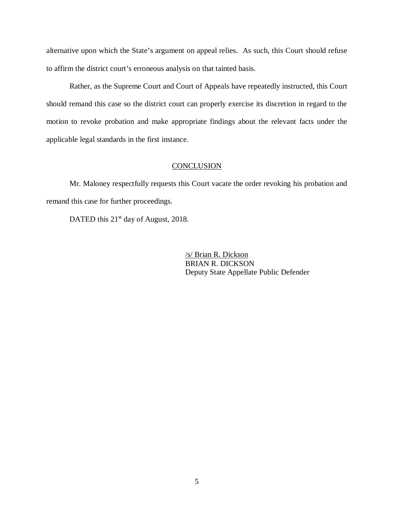alternative upon which the State's argument on appeal relies. As such, this Court should refuse to affirm the district court's erroneous analysis on that tainted basis.

Rather, as the Supreme Court and Court of Appeals have repeatedly instructed, this Court should remand this case so the district court can properly exercise its discretion in regard to the motion to revoke probation and make appropriate findings about the relevant facts under the applicable legal standards in the first instance.

#### **CONCLUSION**

Mr. Maloney respectfully requests this Court vacate the order revoking his probation and remand this case for further proceedings.

DATED this  $21<sup>st</sup>$  day of August, 2018.

/s/ Brian R. Dickson BRIAN R. DICKSON Deputy State Appellate Public Defender